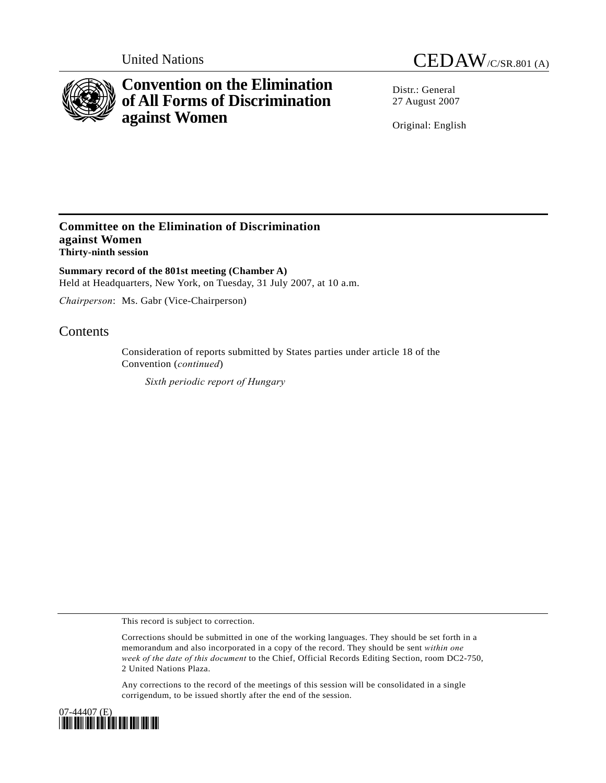

# **Convention on the Elimination of All Forms of Discrimination against Women**

United Nations CEDAW/C/SR.801 (A)

Distr · General 27 August 2007

Original: English

### **Committee on the Elimination of Discrimination against Women Thirty-ninth session**

**Summary record of the 801st meeting (Chamber A)**  Held at Headquarters, New York, on Tuesday, 31 July 2007, at 10 a.m.

*Chairperson*: Ms. Gabr (Vice-Chairperson)

## **Contents**

Consideration of reports submitted by States parties under article 18 of the Convention (*continued*)

*Sixth periodic report of Hungary* 

This record is subject to correction.

Corrections should be submitted in one of the working languages. They should be set forth in a memorandum and also incorporated in a copy of the record. They should be sent *within one week of the date of this document* to the Chief, Official Records Editing Section, room DC2-750, 2 United Nations Plaza.

Any corrections to the record of the meetings of this session will be consolidated in a single corrigendum, to be issued shortly after the end of the session.

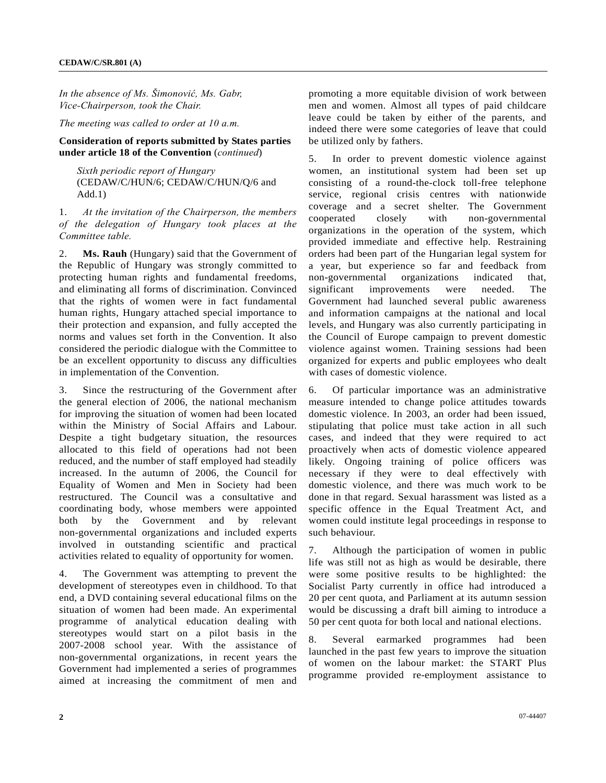*In the absence of Ms. Šimonović, Ms. Gabr, Vice-Chairperson, took the Chair.* 

*The meeting was called to order at 10 a.m.* 

#### **Consideration of reports submitted by States parties under article 18 of the Convention** (*continued*)

*Sixth periodic report of Hungary*  (CEDAW/C/HUN/6; CEDAW/C/HUN/Q/6 and Add.1)

1. *At the invitation of the Chairperson, the members of the delegation of Hungary took places at the Committee table.*

2. **Ms. Rauh** (Hungary) said that the Government of the Republic of Hungary was strongly committed to protecting human rights and fundamental freedoms, and eliminating all forms of discrimination. Convinced that the rights of women were in fact fundamental human rights, Hungary attached special importance to their protection and expansion, and fully accepted the norms and values set forth in the Convention. It also considered the periodic dialogue with the Committee to be an excellent opportunity to discuss any difficulties in implementation of the Convention.

3. Since the restructuring of the Government after the general election of 2006, the national mechanism for improving the situation of women had been located within the Ministry of Social Affairs and Labour. Despite a tight budgetary situation, the resources allocated to this field of operations had not been reduced, and the number of staff employed had steadily increased. In the autumn of 2006, the Council for Equality of Women and Men in Society had been restructured. The Council was a consultative and coordinating body, whose members were appointed both by the Government and by relevant non-governmental organizations and included experts involved in outstanding scientific and practical activities related to equality of opportunity for women.

4. The Government was attempting to prevent the development of stereotypes even in childhood. To that end, a DVD containing several educational films on the situation of women had been made. An experimental programme of analytical education dealing with stereotypes would start on a pilot basis in the 2007-2008 school year. With the assistance of non-governmental organizations, in recent years the Government had implemented a series of programmes aimed at increasing the commitment of men and

promoting a more equitable division of work between men and women. Almost all types of paid childcare leave could be taken by either of the parents, and indeed there were some categories of leave that could be utilized only by fathers.

5. In order to prevent domestic violence against women, an institutional system had been set up consisting of a round-the-clock toll-free telephone service, regional crisis centres with nationwide coverage and a secret shelter. The Government cooperated closely with non-governmental organizations in the operation of the system, which provided immediate and effective help. Restraining orders had been part of the Hungarian legal system for a year, but experience so far and feedback from non-governmental organizations indicated that, significant improvements were needed. The Government had launched several public awareness and information campaigns at the national and local levels, and Hungary was also currently participating in the Council of Europe campaign to prevent domestic violence against women. Training sessions had been organized for experts and public employees who dealt with cases of domestic violence.

6. Of particular importance was an administrative measure intended to change police attitudes towards domestic violence. In 2003, an order had been issued, stipulating that police must take action in all such cases, and indeed that they were required to act proactively when acts of domestic violence appeared likely. Ongoing training of police officers was necessary if they were to deal effectively with domestic violence, and there was much work to be done in that regard. Sexual harassment was listed as a specific offence in the Equal Treatment Act, and women could institute legal proceedings in response to such behaviour.

7. Although the participation of women in public life was still not as high as would be desirable, there were some positive results to be highlighted: the Socialist Party currently in office had introduced a 20 per cent quota, and Parliament at its autumn session would be discussing a draft bill aiming to introduce a 50 per cent quota for both local and national elections.

8. Several earmarked programmes had been launched in the past few years to improve the situation of women on the labour market: the START Plus programme provided re-employment assistance to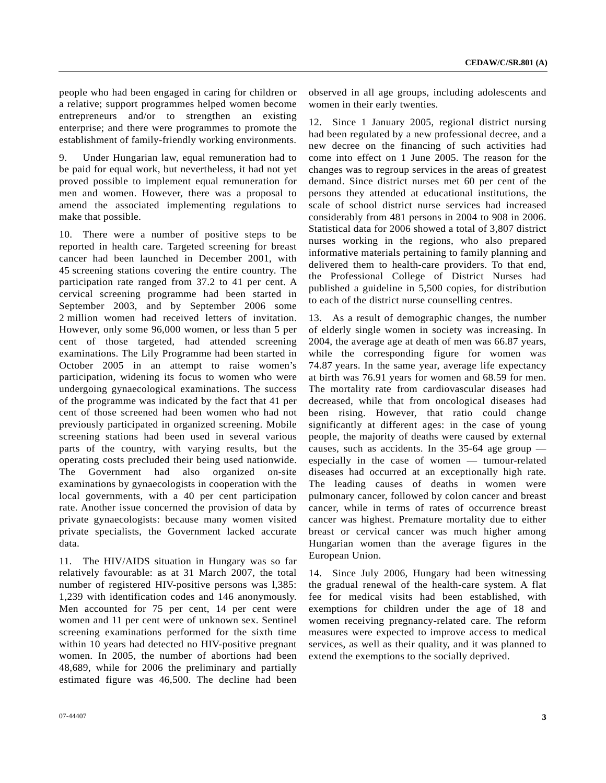people who had been engaged in caring for children or a relative; support programmes helped women become entrepreneurs and/or to strengthen an existing enterprise; and there were programmes to promote the establishment of family-friendly working environments.

9. Under Hungarian law, equal remuneration had to be paid for equal work, but nevertheless, it had not yet proved possible to implement equal remuneration for men and women. However, there was a proposal to amend the associated implementing regulations to make that possible.

10. There were a number of positive steps to be reported in health care. Targeted screening for breast cancer had been launched in December 2001, with 45 screening stations covering the entire country. The participation rate ranged from 37.2 to 41 per cent. A cervical screening programme had been started in September 2003, and by September 2006 some 2 million women had received letters of invitation. However, only some 96,000 women, or less than 5 per cent of those targeted, had attended screening examinations. The Lily Programme had been started in October 2005 in an attempt to raise women's participation, widening its focus to women who were undergoing gynaecological examinations. The success of the programme was indicated by the fact that 41 per cent of those screened had been women who had not previously participated in organized screening. Mobile screening stations had been used in several various parts of the country, with varying results, but the operating costs precluded their being used nationwide. The Government had also organized on-site examinations by gynaecologists in cooperation with the local governments, with a 40 per cent participation rate. Another issue concerned the provision of data by private gynaecologists: because many women visited private specialists, the Government lacked accurate data.

11. The HIV/AIDS situation in Hungary was so far relatively favourable: as at 31 March 2007, the total number of registered HIV-positive persons was l,385: 1,239 with identification codes and 146 anonymously. Men accounted for 75 per cent, 14 per cent were women and 11 per cent were of unknown sex. Sentinel screening examinations performed for the sixth time within 10 years had detected no HIV-positive pregnant women. In 2005, the number of abortions had been 48,689, while for 2006 the preliminary and partially estimated figure was 46,500. The decline had been

observed in all age groups, including adolescents and women in their early twenties.

12. Since 1 January 2005, regional district nursing had been regulated by a new professional decree, and a new decree on the financing of such activities had come into effect on 1 June 2005. The reason for the changes was to regroup services in the areas of greatest demand. Since district nurses met 60 per cent of the persons they attended at educational institutions, the scale of school district nurse services had increased considerably from 481 persons in 2004 to 908 in 2006. Statistical data for 2006 showed a total of 3,807 district nurses working in the regions, who also prepared informative materials pertaining to family planning and delivered them to health-care providers. To that end, the Professional College of District Nurses had published a guideline in 5,500 copies, for distribution to each of the district nurse counselling centres.

13. As a result of demographic changes, the number of elderly single women in society was increasing. In 2004, the average age at death of men was 66.87 years, while the corresponding figure for women was 74.87 years. In the same year, average life expectancy at birth was 76.91 years for women and 68.59 for men. The mortality rate from cardiovascular diseases had decreased, while that from oncological diseases had been rising. However, that ratio could change significantly at different ages: in the case of young people, the majority of deaths were caused by external causes, such as accidents. In the 35-64 age group especially in the case of women — tumour-related diseases had occurred at an exceptionally high rate. The leading causes of deaths in women were pulmonary cancer, followed by colon cancer and breast cancer, while in terms of rates of occurrence breast cancer was highest. Premature mortality due to either breast or cervical cancer was much higher among Hungarian women than the average figures in the European Union.

14. Since July 2006, Hungary had been witnessing the gradual renewal of the health-care system. A flat fee for medical visits had been established, with exemptions for children under the age of 18 and women receiving pregnancy-related care. The reform measures were expected to improve access to medical services, as well as their quality, and it was planned to extend the exemptions to the socially deprived.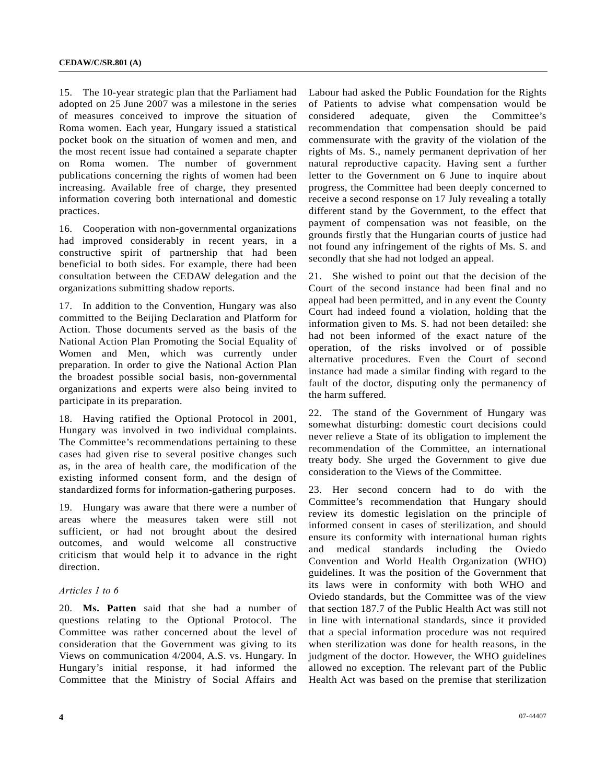15. The 10-year strategic plan that the Parliament had adopted on 25 June 2007 was a milestone in the series of measures conceived to improve the situation of Roma women. Each year, Hungary issued a statistical pocket book on the situation of women and men, and the most recent issue had contained a separate chapter on Roma women. The number of government publications concerning the rights of women had been increasing. Available free of charge, they presented information covering both international and domestic practices.

16. Cooperation with non-governmental organizations had improved considerably in recent years, in a constructive spirit of partnership that had been beneficial to both sides. For example, there had been consultation between the CEDAW delegation and the organizations submitting shadow reports.

17. In addition to the Convention, Hungary was also committed to the Beijing Declaration and Platform for Action. Those documents served as the basis of the National Action Plan Promoting the Social Equality of Women and Men, which was currently under preparation. In order to give the National Action Plan the broadest possible social basis, non-governmental organizations and experts were also being invited to participate in its preparation.

18. Having ratified the Optional Protocol in 2001, Hungary was involved in two individual complaints. The Committee's recommendations pertaining to these cases had given rise to several positive changes such as, in the area of health care, the modification of the existing informed consent form, and the design of standardized forms for information-gathering purposes.

19. Hungary was aware that there were a number of areas where the measures taken were still not sufficient, or had not brought about the desired outcomes, and would welcome all constructive criticism that would help it to advance in the right direction.

#### *Articles 1 to 6*

20. **Ms. Patten** said that she had a number of questions relating to the Optional Protocol. The Committee was rather concerned about the level of consideration that the Government was giving to its Views on communication 4/2004, A.S. vs. Hungary. In Hungary's initial response, it had informed the Committee that the Ministry of Social Affairs and

Labour had asked the Public Foundation for the Rights of Patients to advise what compensation would be considered adequate, given the Committee's recommendation that compensation should be paid commensurate with the gravity of the violation of the rights of Ms. S., namely permanent deprivation of her natural reproductive capacity. Having sent a further letter to the Government on 6 June to inquire about progress, the Committee had been deeply concerned to receive a second response on 17 July revealing a totally different stand by the Government, to the effect that payment of compensation was not feasible, on the grounds firstly that the Hungarian courts of justice had not found any infringement of the rights of Ms. S. and secondly that she had not lodged an appeal.

21. She wished to point out that the decision of the Court of the second instance had been final and no appeal had been permitted, and in any event the County Court had indeed found a violation, holding that the information given to Ms. S. had not been detailed: she had not been informed of the exact nature of the operation, of the risks involved or of possible alternative procedures. Even the Court of second instance had made a similar finding with regard to the fault of the doctor, disputing only the permanency of the harm suffered.

22. The stand of the Government of Hungary was somewhat disturbing: domestic court decisions could never relieve a State of its obligation to implement the recommendation of the Committee, an international treaty body. She urged the Government to give due consideration to the Views of the Committee.

23. Her second concern had to do with the Committee's recommendation that Hungary should review its domestic legislation on the principle of informed consent in cases of sterilization, and should ensure its conformity with international human rights and medical standards including the Oviedo Convention and World Health Organization (WHO) guidelines. It was the position of the Government that its laws were in conformity with both WHO and Oviedo standards, but the Committee was of the view that section 187.7 of the Public Health Act was still not in line with international standards, since it provided that a special information procedure was not required when sterilization was done for health reasons, in the judgment of the doctor. However, the WHO guidelines allowed no exception. The relevant part of the Public Health Act was based on the premise that sterilization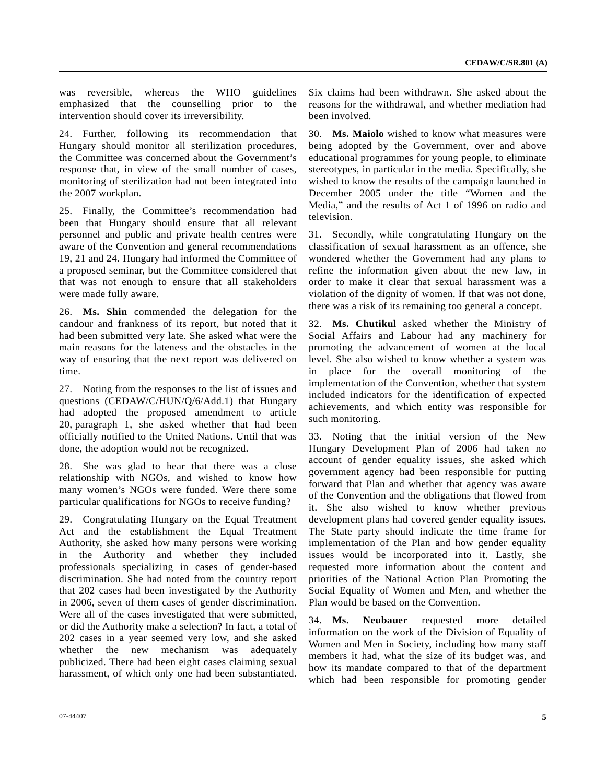was reversible, whereas the WHO guidelines emphasized that the counselling prior to the intervention should cover its irreversibility.

24. Further, following its recommendation that Hungary should monitor all sterilization procedures, the Committee was concerned about the Government's response that, in view of the small number of cases, monitoring of sterilization had not been integrated into the 2007 workplan.

25. Finally, the Committee's recommendation had been that Hungary should ensure that all relevant personnel and public and private health centres were aware of the Convention and general recommendations 19, 21 and 24. Hungary had informed the Committee of a proposed seminar, but the Committee considered that that was not enough to ensure that all stakeholders were made fully aware.

26. **Ms. Shin** commended the delegation for the candour and frankness of its report, but noted that it had been submitted very late. She asked what were the main reasons for the lateness and the obstacles in the way of ensuring that the next report was delivered on time.

27. Noting from the responses to the list of issues and questions (CEDAW/C/HUN/Q/6/Add.1) that Hungary had adopted the proposed amendment to article 20, paragraph 1, she asked whether that had been officially notified to the United Nations. Until that was done, the adoption would not be recognized.

28. She was glad to hear that there was a close relationship with NGOs, and wished to know how many women's NGOs were funded. Were there some particular qualifications for NGOs to receive funding?

29. Congratulating Hungary on the Equal Treatment Act and the establishment the Equal Treatment Authority, she asked how many persons were working in the Authority and whether they included professionals specializing in cases of gender-based discrimination. She had noted from the country report that 202 cases had been investigated by the Authority in 2006, seven of them cases of gender discrimination. Were all of the cases investigated that were submitted, or did the Authority make a selection? In fact, a total of 202 cases in a year seemed very low, and she asked whether the new mechanism was adequately publicized. There had been eight cases claiming sexual harassment, of which only one had been substantiated.

Six claims had been withdrawn. She asked about the reasons for the withdrawal, and whether mediation had been involved.

30. **Ms. Maiolo** wished to know what measures were being adopted by the Government, over and above educational programmes for young people, to eliminate stereotypes, in particular in the media. Specifically, she wished to know the results of the campaign launched in December 2005 under the title "Women and the Media," and the results of Act 1 of 1996 on radio and television.

31. Secondly, while congratulating Hungary on the classification of sexual harassment as an offence, she wondered whether the Government had any plans to refine the information given about the new law, in order to make it clear that sexual harassment was a violation of the dignity of women. If that was not done, there was a risk of its remaining too general a concept.

32. **Ms. Chutikul** asked whether the Ministry of Social Affairs and Labour had any machinery for promoting the advancement of women at the local level. She also wished to know whether a system was in place for the overall monitoring of the implementation of the Convention, whether that system included indicators for the identification of expected achievements, and which entity was responsible for such monitoring.

33. Noting that the initial version of the New Hungary Development Plan of 2006 had taken no account of gender equality issues, she asked which government agency had been responsible for putting forward that Plan and whether that agency was aware of the Convention and the obligations that flowed from it. She also wished to know whether previous development plans had covered gender equality issues. The State party should indicate the time frame for implementation of the Plan and how gender equality issues would be incorporated into it. Lastly, she requested more information about the content and priorities of the National Action Plan Promoting the Social Equality of Women and Men, and whether the Plan would be based on the Convention.

34. **Ms. Neubauer** requested more detailed information on the work of the Division of Equality of Women and Men in Society, including how many staff members it had, what the size of its budget was, and how its mandate compared to that of the department which had been responsible for promoting gender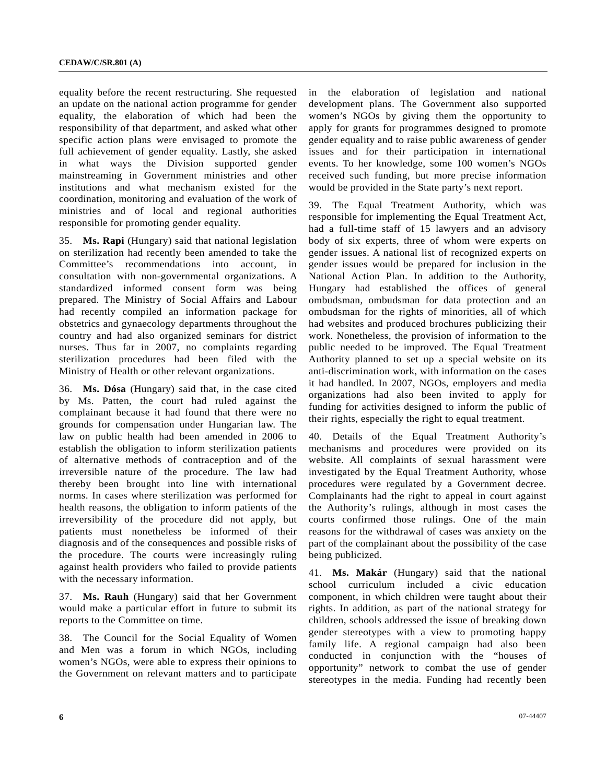equality before the recent restructuring. She requested an update on the national action programme for gender equality, the elaboration of which had been the responsibility of that department, and asked what other specific action plans were envisaged to promote the full achievement of gender equality. Lastly, she asked in what ways the Division supported gender mainstreaming in Government ministries and other institutions and what mechanism existed for the coordination, monitoring and evaluation of the work of ministries and of local and regional authorities responsible for promoting gender equality.

35. **Ms. Rapi** (Hungary) said that national legislation on sterilization had recently been amended to take the Committee's recommendations into account, in consultation with non-governmental organizations. A standardized informed consent form was being prepared. The Ministry of Social Affairs and Labour had recently compiled an information package for obstetrics and gynaecology departments throughout the country and had also organized seminars for district nurses. Thus far in 2007, no complaints regarding sterilization procedures had been filed with the Ministry of Health or other relevant organizations.

36. **Ms. Dósa** (Hungary) said that, in the case cited by Ms. Patten, the court had ruled against the complainant because it had found that there were no grounds for compensation under Hungarian law. The law on public health had been amended in 2006 to establish the obligation to inform sterilization patients of alternative methods of contraception and of the irreversible nature of the procedure. The law had thereby been brought into line with international norms. In cases where sterilization was performed for health reasons, the obligation to inform patients of the irreversibility of the procedure did not apply, but patients must nonetheless be informed of their diagnosis and of the consequences and possible risks of the procedure. The courts were increasingly ruling against health providers who failed to provide patients with the necessary information.

37. **Ms. Rauh** (Hungary) said that her Government would make a particular effort in future to submit its reports to the Committee on time.

38. The Council for the Social Equality of Women and Men was a forum in which NGOs, including women's NGOs, were able to express their opinions to the Government on relevant matters and to participate in the elaboration of legislation and national development plans. The Government also supported women's NGOs by giving them the opportunity to apply for grants for programmes designed to promote gender equality and to raise public awareness of gender issues and for their participation in international events. To her knowledge, some 100 women's NGOs received such funding, but more precise information would be provided in the State party's next report.

39. The Equal Treatment Authority, which was responsible for implementing the Equal Treatment Act, had a full-time staff of 15 lawyers and an advisory body of six experts, three of whom were experts on gender issues. A national list of recognized experts on gender issues would be prepared for inclusion in the National Action Plan. In addition to the Authority, Hungary had established the offices of general ombudsman, ombudsman for data protection and an ombudsman for the rights of minorities, all of which had websites and produced brochures publicizing their work. Nonetheless, the provision of information to the public needed to be improved. The Equal Treatment Authority planned to set up a special website on its anti-discrimination work, with information on the cases it had handled. In 2007, NGOs, employers and media organizations had also been invited to apply for funding for activities designed to inform the public of their rights, especially the right to equal treatment.

40. Details of the Equal Treatment Authority's mechanisms and procedures were provided on its website. All complaints of sexual harassment were investigated by the Equal Treatment Authority, whose procedures were regulated by a Government decree. Complainants had the right to appeal in court against the Authority's rulings, although in most cases the courts confirmed those rulings. One of the main reasons for the withdrawal of cases was anxiety on the part of the complainant about the possibility of the case being publicized.

41. **Ms. Makár** (Hungary) said that the national school curriculum included a civic education component, in which children were taught about their rights. In addition, as part of the national strategy for children, schools addressed the issue of breaking down gender stereotypes with a view to promoting happy family life. A regional campaign had also been conducted in conjunction with the "houses of opportunity" network to combat the use of gender stereotypes in the media. Funding had recently been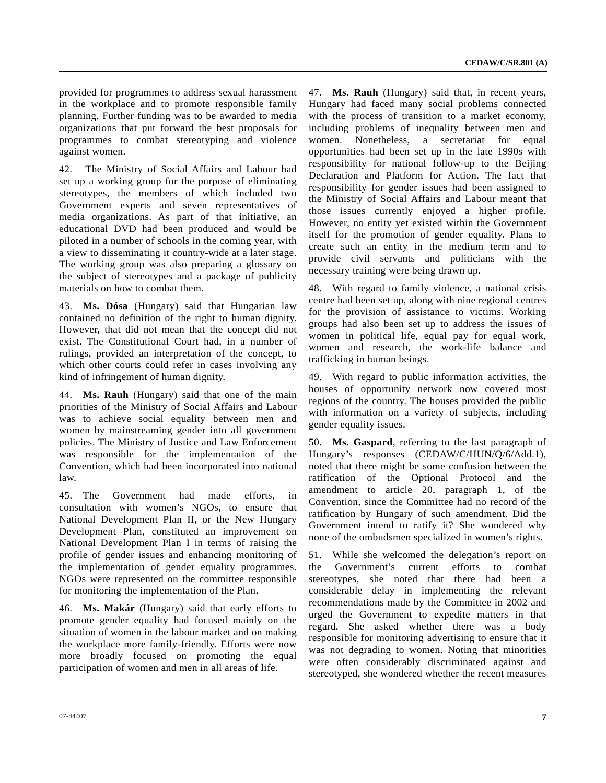provided for programmes to address sexual harassment in the workplace and to promote responsible family planning. Further funding was to be awarded to media organizations that put forward the best proposals for programmes to combat stereotyping and violence against women.

42. The Ministry of Social Affairs and Labour had set up a working group for the purpose of eliminating stereotypes, the members of which included two Government experts and seven representatives of media organizations. As part of that initiative, an educational DVD had been produced and would be piloted in a number of schools in the coming year, with a view to disseminating it country-wide at a later stage. The working group was also preparing a glossary on the subject of stereotypes and a package of publicity materials on how to combat them.

43. **Ms. Dósa** (Hungary) said that Hungarian law contained no definition of the right to human dignity. However, that did not mean that the concept did not exist. The Constitutional Court had, in a number of rulings, provided an interpretation of the concept, to which other courts could refer in cases involving any kind of infringement of human dignity.

44. **Ms. Rauh** (Hungary) said that one of the main priorities of the Ministry of Social Affairs and Labour was to achieve social equality between men and women by mainstreaming gender into all government policies. The Ministry of Justice and Law Enforcement was responsible for the implementation of the Convention, which had been incorporated into national law.

45. The Government had made efforts, in consultation with women's NGOs, to ensure that National Development Plan II, or the New Hungary Development Plan, constituted an improvement on National Development Plan I in terms of raising the profile of gender issues and enhancing monitoring of the implementation of gender equality programmes. NGOs were represented on the committee responsible for monitoring the implementation of the Plan.

46. **Ms. Makár** (Hungary) said that early efforts to promote gender equality had focused mainly on the situation of women in the labour market and on making the workplace more family-friendly. Efforts were now more broadly focused on promoting the equal participation of women and men in all areas of life.

47. **Ms. Rauh** (Hungary) said that, in recent years, Hungary had faced many social problems connected with the process of transition to a market economy, including problems of inequality between men and women. Nonetheless, a secretariat for equal opportunities had been set up in the late 1990s with responsibility for national follow-up to the Beijing Declaration and Platform for Action. The fact that responsibility for gender issues had been assigned to the Ministry of Social Affairs and Labour meant that those issues currently enjoyed a higher profile. However, no entity yet existed within the Government itself for the promotion of gender equality. Plans to create such an entity in the medium term and to provide civil servants and politicians with the necessary training were being drawn up.

48. With regard to family violence, a national crisis centre had been set up, along with nine regional centres for the provision of assistance to victims. Working groups had also been set up to address the issues of women in political life, equal pay for equal work, women and research, the work-life balance and trafficking in human beings.

49. With regard to public information activities, the houses of opportunity network now covered most regions of the country. The houses provided the public with information on a variety of subjects, including gender equality issues.

50. **Ms. Gaspard**, referring to the last paragraph of Hungary's responses (CEDAW/C/HUN/Q/6/Add.1), noted that there might be some confusion between the ratification of the Optional Protocol and the amendment to article 20, paragraph 1, of the Convention, since the Committee had no record of the ratification by Hungary of such amendment. Did the Government intend to ratify it? She wondered why none of the ombudsmen specialized in women's rights.

51. While she welcomed the delegation's report on the Government's current efforts to combat stereotypes, she noted that there had been a considerable delay in implementing the relevant recommendations made by the Committee in 2002 and urged the Government to expedite matters in that regard. She asked whether there was a body responsible for monitoring advertising to ensure that it was not degrading to women. Noting that minorities were often considerably discriminated against and stereotyped, she wondered whether the recent measures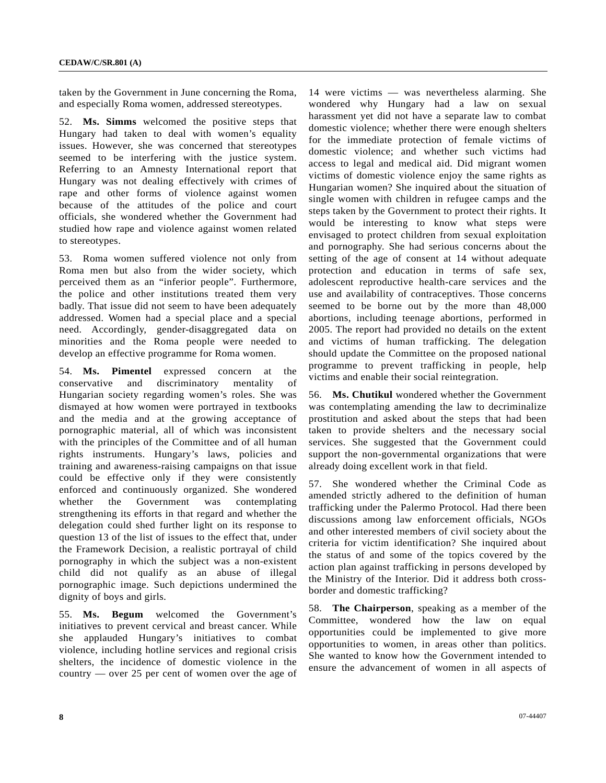taken by the Government in June concerning the Roma, and especially Roma women, addressed stereotypes.

52. **Ms. Simms** welcomed the positive steps that Hungary had taken to deal with women's equality issues. However, she was concerned that stereotypes seemed to be interfering with the justice system. Referring to an Amnesty International report that Hungary was not dealing effectively with crimes of rape and other forms of violence against women because of the attitudes of the police and court officials, she wondered whether the Government had studied how rape and violence against women related to stereotypes.

53. Roma women suffered violence not only from Roma men but also from the wider society, which perceived them as an "inferior people". Furthermore, the police and other institutions treated them very badly. That issue did not seem to have been adequately addressed. Women had a special place and a special need. Accordingly, gender-disaggregated data on minorities and the Roma people were needed to develop an effective programme for Roma women.

54. **Ms. Pimentel** expressed concern at the conservative and discriminatory mentality of Hungarian society regarding women's roles. She was dismayed at how women were portrayed in textbooks and the media and at the growing acceptance of pornographic material, all of which was inconsistent with the principles of the Committee and of all human rights instruments. Hungary's laws, policies and training and awareness-raising campaigns on that issue could be effective only if they were consistently enforced and continuously organized. She wondered whether the Government was contemplating strengthening its efforts in that regard and whether the delegation could shed further light on its response to question 13 of the list of issues to the effect that, under the Framework Decision, a realistic portrayal of child pornography in which the subject was a non-existent child did not qualify as an abuse of illegal pornographic image. Such depictions undermined the dignity of boys and girls.

55. **Ms. Begum** welcomed the Government's initiatives to prevent cervical and breast cancer. While she applauded Hungary's initiatives to combat violence, including hotline services and regional crisis shelters, the incidence of domestic violence in the country — over 25 per cent of women over the age of 14 were victims — was nevertheless alarming. She wondered why Hungary had a law on sexual harassment yet did not have a separate law to combat domestic violence; whether there were enough shelters for the immediate protection of female victims of domestic violence; and whether such victims had access to legal and medical aid. Did migrant women victims of domestic violence enjoy the same rights as Hungarian women? She inquired about the situation of single women with children in refugee camps and the steps taken by the Government to protect their rights. It would be interesting to know what steps were envisaged to protect children from sexual exploitation and pornography. She had serious concerns about the setting of the age of consent at 14 without adequate protection and education in terms of safe sex, adolescent reproductive health-care services and the use and availability of contraceptives. Those concerns seemed to be borne out by the more than 48,000 abortions, including teenage abortions, performed in 2005. The report had provided no details on the extent and victims of human trafficking. The delegation should update the Committee on the proposed national programme to prevent trafficking in people, help victims and enable their social reintegration.

56. **Ms. Chutikul** wondered whether the Government was contemplating amending the law to decriminalize prostitution and asked about the steps that had been taken to provide shelters and the necessary social services. She suggested that the Government could support the non-governmental organizations that were already doing excellent work in that field.

57. She wondered whether the Criminal Code as amended strictly adhered to the definition of human trafficking under the Palermo Protocol. Had there been discussions among law enforcement officials, NGOs and other interested members of civil society about the criteria for victim identification? She inquired about the status of and some of the topics covered by the action plan against trafficking in persons developed by the Ministry of the Interior. Did it address both crossborder and domestic trafficking?

58. **The Chairperson**, speaking as a member of the Committee, wondered how the law on equal opportunities could be implemented to give more opportunities to women, in areas other than politics. She wanted to know how the Government intended to ensure the advancement of women in all aspects of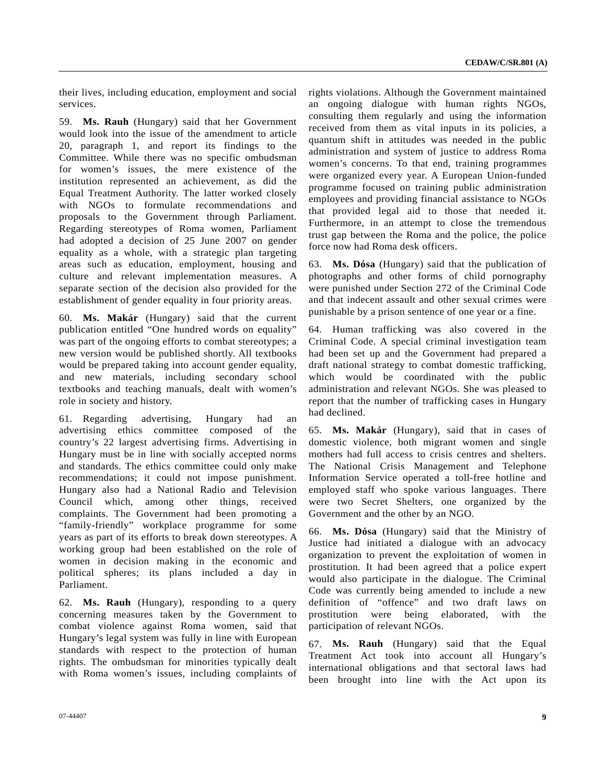their lives, including education, employment and social services.

59. **Ms. Rauh** (Hungary) said that her Government would look into the issue of the amendment to article 20, paragraph 1, and report its findings to the Committee. While there was no specific ombudsman for women's issues, the mere existence of the institution represented an achievement, as did the Equal Treatment Authority. The latter worked closely with NGOs to formulate recommendations and proposals to the Government through Parliament. Regarding stereotypes of Roma women, Parliament had adopted a decision of 25 June 2007 on gender equality as a whole, with a strategic plan targeting areas such as education, employment, housing and culture and relevant implementation measures. A separate section of the decision also provided for the establishment of gender equality in four priority areas.

60. **Ms. Makár** (Hungary) said that the current publication entitled "One hundred words on equality" was part of the ongoing efforts to combat stereotypes; a new version would be published shortly. All textbooks would be prepared taking into account gender equality, and new materials, including secondary school textbooks and teaching manuals, dealt with women's role in society and history.

61. Regarding advertising, Hungary had an advertising ethics committee composed of the country's 22 largest advertising firms. Advertising in Hungary must be in line with socially accepted norms and standards. The ethics committee could only make recommendations; it could not impose punishment. Hungary also had a National Radio and Television Council which, among other things, received complaints. The Government had been promoting a "family-friendly" workplace programme for some years as part of its efforts to break down stereotypes. A working group had been established on the role of women in decision making in the economic and political spheres; its plans included a day in Parliament.

62. **Ms. Rauh** (Hungary), responding to a query concerning measures taken by the Government to combat violence against Roma women, said that Hungary's legal system was fully in line with European standards with respect to the protection of human rights. The ombudsman for minorities typically dealt with Roma women's issues, including complaints of rights violations. Although the Government maintained an ongoing dialogue with human rights NGOs, consulting them regularly and using the information received from them as vital inputs in its policies, a quantum shift in attitudes was needed in the public administration and system of justice to address Roma women's concerns. To that end, training programmes were organized every year. A European Union-funded programme focused on training public administration employees and providing financial assistance to NGOs that provided legal aid to those that needed it. Furthermore, in an attempt to close the tremendous trust gap between the Roma and the police, the police force now had Roma desk officers.

63. **Ms. Dósa** (Hungary) said that the publication of photographs and other forms of child pornography were punished under Section 272 of the Criminal Code and that indecent assault and other sexual crimes were punishable by a prison sentence of one year or a fine.

64. Human trafficking was also covered in the Criminal Code. A special criminal investigation team had been set up and the Government had prepared a draft national strategy to combat domestic trafficking, which would be coordinated with the public administration and relevant NGOs. She was pleased to report that the number of trafficking cases in Hungary had declined.

65. **Ms. Makár** (Hungary), said that in cases of domestic violence, both migrant women and single mothers had full access to crisis centres and shelters. The National Crisis Management and Telephone Information Service operated a toll-free hotline and employed staff who spoke various languages. There were two Secret Shelters, one organized by the Government and the other by an NGO.

66. **Ms. Dósa** (Hungary) said that the Ministry of Justice had initiated a dialogue with an advocacy organization to prevent the exploitation of women in prostitution. It had been agreed that a police expert would also participate in the dialogue. The Criminal Code was currently being amended to include a new definition of "offence" and two draft laws on prostitution were being elaborated, with the participation of relevant NGOs.

67. **Ms. Rauh** (Hungary) said that the Equal Treatment Act took into account all Hungary's international obligations and that sectoral laws had been brought into line with the Act upon its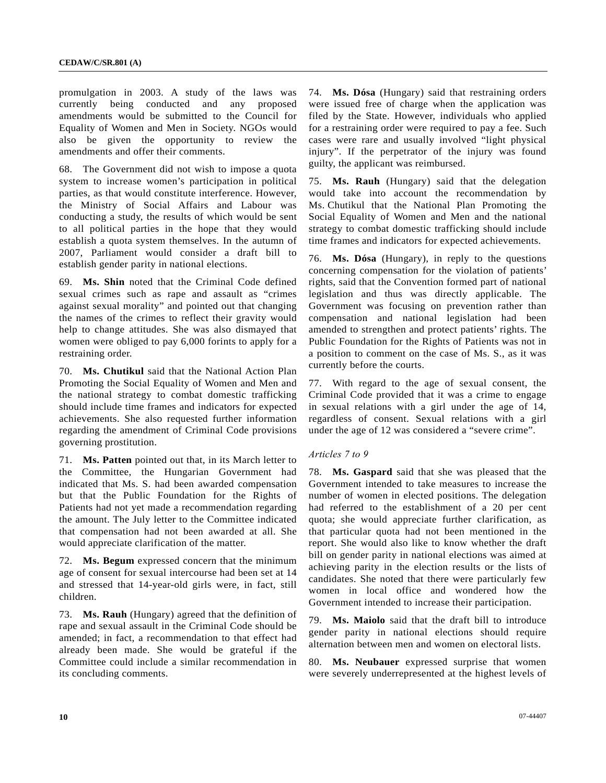promulgation in 2003. A study of the laws was currently being conducted and any proposed amendments would be submitted to the Council for Equality of Women and Men in Society. NGOs would also be given the opportunity to review the amendments and offer their comments.

68. The Government did not wish to impose a quota system to increase women's participation in political parties, as that would constitute interference. However, the Ministry of Social Affairs and Labour was conducting a study, the results of which would be sent to all political parties in the hope that they would establish a quota system themselves. In the autumn of 2007, Parliament would consider a draft bill to establish gender parity in national elections.

69. **Ms. Shin** noted that the Criminal Code defined sexual crimes such as rape and assault as "crimes against sexual morality" and pointed out that changing the names of the crimes to reflect their gravity would help to change attitudes. She was also dismayed that women were obliged to pay 6,000 forints to apply for a restraining order.

70. **Ms. Chutikul** said that the National Action Plan Promoting the Social Equality of Women and Men and the national strategy to combat domestic trafficking should include time frames and indicators for expected achievements. She also requested further information regarding the amendment of Criminal Code provisions governing prostitution.

71. **Ms. Patten** pointed out that, in its March letter to the Committee, the Hungarian Government had indicated that Ms. S. had been awarded compensation but that the Public Foundation for the Rights of Patients had not yet made a recommendation regarding the amount. The July letter to the Committee indicated that compensation had not been awarded at all. She would appreciate clarification of the matter.

72. **Ms. Begum** expressed concern that the minimum age of consent for sexual intercourse had been set at 14 and stressed that 14-year-old girls were, in fact, still children.

73. **Ms. Rauh** (Hungary) agreed that the definition of rape and sexual assault in the Criminal Code should be amended; in fact, a recommendation to that effect had already been made. She would be grateful if the Committee could include a similar recommendation in its concluding comments.

74. **Ms. Dósa** (Hungary) said that restraining orders were issued free of charge when the application was filed by the State. However, individuals who applied for a restraining order were required to pay a fee. Such cases were rare and usually involved "light physical injury". If the perpetrator of the injury was found guilty, the applicant was reimbursed.

75. **Ms. Rauh** (Hungary) said that the delegation would take into account the recommendation by Ms. Chutikul that the National Plan Promoting the Social Equality of Women and Men and the national strategy to combat domestic trafficking should include time frames and indicators for expected achievements.

76. **Ms. Dósa** (Hungary), in reply to the questions concerning compensation for the violation of patients' rights, said that the Convention formed part of national legislation and thus was directly applicable. The Government was focusing on prevention rather than compensation and national legislation had been amended to strengthen and protect patients' rights. The Public Foundation for the Rights of Patients was not in a position to comment on the case of Ms. S., as it was currently before the courts.

77. With regard to the age of sexual consent, the Criminal Code provided that it was a crime to engage in sexual relations with a girl under the age of 14, regardless of consent. Sexual relations with a girl under the age of 12 was considered a "severe crime".

#### *Articles 7 to 9*

78. **Ms. Gaspard** said that she was pleased that the Government intended to take measures to increase the number of women in elected positions. The delegation had referred to the establishment of a 20 per cent quota; she would appreciate further clarification, as that particular quota had not been mentioned in the report. She would also like to know whether the draft bill on gender parity in national elections was aimed at achieving parity in the election results or the lists of candidates. She noted that there were particularly few women in local office and wondered how the Government intended to increase their participation.

79. **Ms. Maiolo** said that the draft bill to introduce gender parity in national elections should require alternation between men and women on electoral lists.

80. **Ms. Neubauer** expressed surprise that women were severely underrepresented at the highest levels of